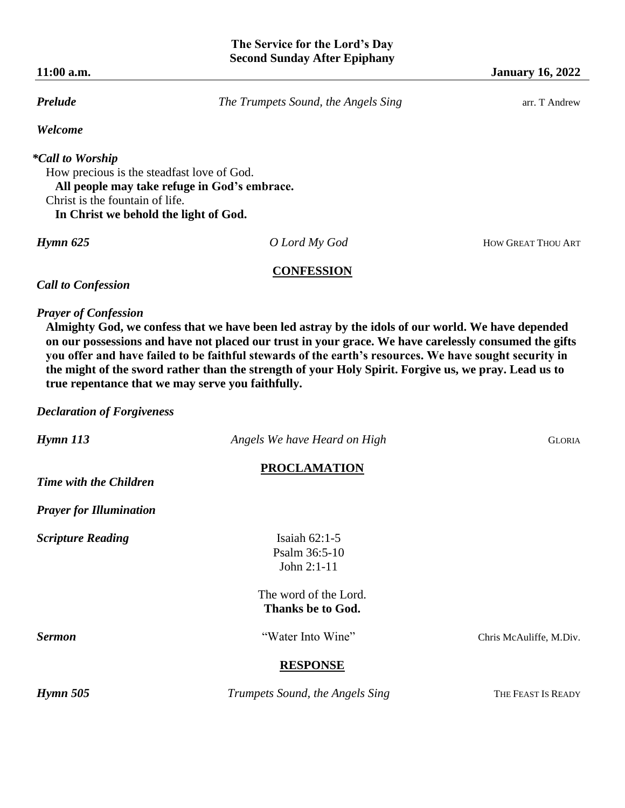*Welcome* 

# *\*Call to Worship*

How precious is the steadfast love of God.  **All people may take refuge in God's embrace.** Christ is the fountain of life.  **In Christ we behold the light of God.**

*Hymn 625 O Lord My God* HOW GREAT THOU ART

## **CONFESSION**

*Call to Confession*

*Prayer of Confession* 

**Almighty God, we confess that we have been led astray by the idols of our world. We have depended on our possessions and have not placed our trust in your grace. We have carelessly consumed the gifts you offer and have failed to be faithful stewards of the earth's resources. We have sought security in the might of the sword rather than the strength of your Holy Spirit. Forgive us, we pray. Lead us to true repentance that we may serve you faithfully.**

*Declaration of Forgiveness*

| $H$ ymn $113$                  | Angels We have Heard on High    | <b>GLORIA</b>           |
|--------------------------------|---------------------------------|-------------------------|
|                                | <b>PROCLAMATION</b>             |                         |
| Time with the Children         |                                 |                         |
| <b>Prayer for Illumination</b> |                                 |                         |
| <b>Scripture Reading</b>       | Isaiah $62:1-5$                 |                         |
|                                | Psalm 36:5-10                   |                         |
|                                | John 2:1-11                     |                         |
|                                | The word of the Lord.           |                         |
|                                | Thanks be to God.               |                         |
| <b>Sermon</b>                  | "Water Into Wine"               | Chris McAuliffe, M.Div. |
|                                | <b>RESPONSE</b>                 |                         |
| Hymn 505                       | Trumpets Sound, the Angels Sing | THE FEAST IS READY      |
|                                |                                 |                         |

*Prelude The Trumpets Sound, the Angels Sing* **<b>arrangement Constraints arrangement of T** Andrew